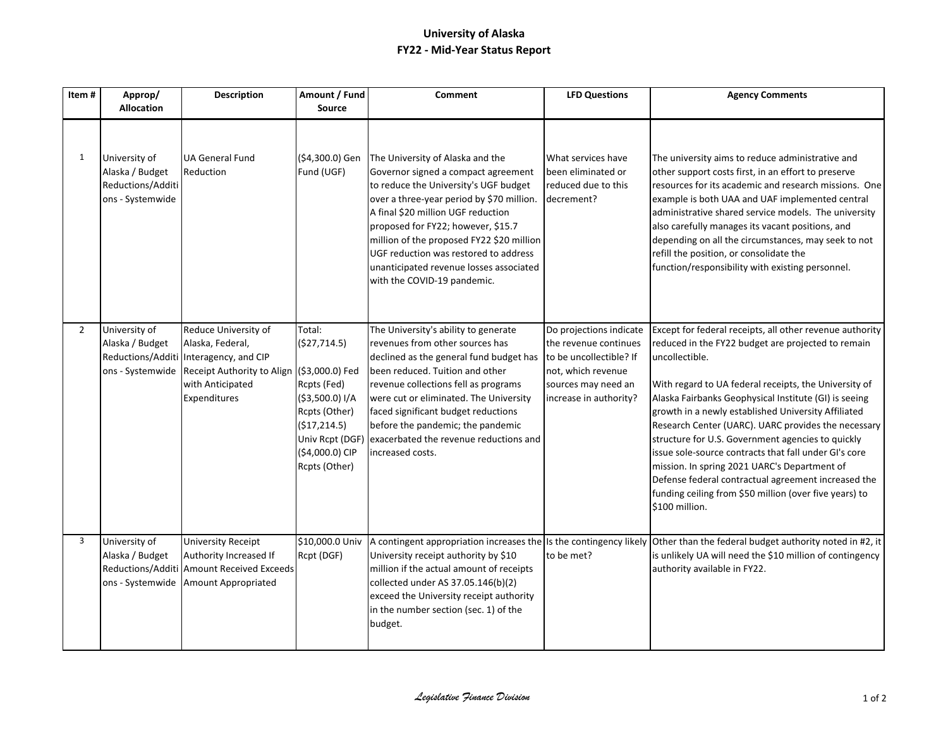## **University of Alaska FY22 - Mid-Year Status Report**

| Item#          | Approp/<br><b>Allocation</b>                                              | Description                                                                                                                                                           | Amount / Fund<br>Source                                                                                                                          | <b>Comment</b>                                                                                                                                                                                                                                                                                                                                                                                            | <b>LFD Questions</b>                                                                                                                               | <b>Agency Comments</b>                                                                                                                                                                                                                                                                                                                                                                                                                                                                                                                                                                                                                                            |
|----------------|---------------------------------------------------------------------------|-----------------------------------------------------------------------------------------------------------------------------------------------------------------------|--------------------------------------------------------------------------------------------------------------------------------------------------|-----------------------------------------------------------------------------------------------------------------------------------------------------------------------------------------------------------------------------------------------------------------------------------------------------------------------------------------------------------------------------------------------------------|----------------------------------------------------------------------------------------------------------------------------------------------------|-------------------------------------------------------------------------------------------------------------------------------------------------------------------------------------------------------------------------------------------------------------------------------------------------------------------------------------------------------------------------------------------------------------------------------------------------------------------------------------------------------------------------------------------------------------------------------------------------------------------------------------------------------------------|
| $\mathbf{1}$   | University of<br>Alaska / Budget<br>Reductions/Additi<br>ons - Systemwide | <b>UA General Fund</b><br>Reduction                                                                                                                                   | (\$4,300.0) Gen<br>Fund (UGF)                                                                                                                    | The University of Alaska and the<br>Governor signed a compact agreement<br>to reduce the University's UGF budget<br>over a three-year period by \$70 million.<br>A final \$20 million UGF reduction<br>proposed for FY22; however, \$15.7<br>million of the proposed FY22 \$20 million<br>UGF reduction was restored to address<br>unanticipated revenue losses associated<br>with the COVID-19 pandemic. | What services have<br>been eliminated or<br>reduced due to this<br>decrement?                                                                      | The university aims to reduce administrative and<br>other support costs first, in an effort to preserve<br>resources for its academic and research missions. One<br>example is both UAA and UAF implemented central<br>administrative shared service models. The university<br>also carefully manages its vacant positions, and<br>depending on all the circumstances, may seek to not<br>refill the position, or consolidate the<br>function/responsibility with existing personnel.                                                                                                                                                                             |
| $\overline{2}$ | University of<br>Alaska / Budget                                          | Reduce University of<br>Alaska, Federal,<br>Reductions/Additi Interagency, and CIP<br>ons - Systemwide Receipt Authority to Align<br>with Anticipated<br>Expenditures | Total:<br>(\$27,714.5)<br>(\$3,000.0) Fed<br>Rcpts (Fed)<br>(\$3,500.0) I/A<br>Rcpts (Other)<br>(\$17,214.5)<br>(\$4,000.0) CIP<br>Rcpts (Other) | The University's ability to generate<br>revenues from other sources has<br>declined as the general fund budget has<br>been reduced. Tuition and other<br>revenue collections fell as programs<br>were cut or eliminated. The University<br>faced significant budget reductions<br>before the pandemic; the pandemic<br>Univ Rcpt (DGF) exacerbated the revenue reductions and<br>increased costs.         | Do projections indicate<br>the revenue continues<br>to be uncollectible? If<br>not, which revenue<br>sources may need an<br>increase in authority? | Except for federal receipts, all other revenue authority<br>reduced in the FY22 budget are projected to remain<br>uncollectible.<br>With regard to UA federal receipts, the University of<br>Alaska Fairbanks Geophysical Institute (GI) is seeing<br>growth in a newly established University Affiliated<br>Research Center (UARC). UARC provides the necessary<br>structure for U.S. Government agencies to quickly<br>issue sole-source contracts that fall under GI's core<br>mission. In spring 2021 UARC's Department of<br>Defense federal contractual agreement increased the<br>funding ceiling from \$50 million (over five years) to<br>\$100 million. |
| 3              | University of<br>Alaska / Budget<br>Reductions/Additi<br>ons - Systemwide | <b>University Receipt</b><br>Authority Increased If<br><b>Amount Received Exceeds</b><br>Amount Appropriated                                                          | \$10,000.0 Univ<br>Rcpt (DGF)                                                                                                                    | University receipt authority by \$10<br>million if the actual amount of receipts<br>collected under AS 37.05.146(b)(2)<br>exceed the University receipt authority<br>in the number section (sec. 1) of the<br>budget.                                                                                                                                                                                     | to be met?                                                                                                                                         | A contingent appropriation increases the Is the contingency likely Other than the federal budget authority noted in #2, it<br>is unlikely UA will need the \$10 million of contingency<br>authority available in FY22.                                                                                                                                                                                                                                                                                                                                                                                                                                            |